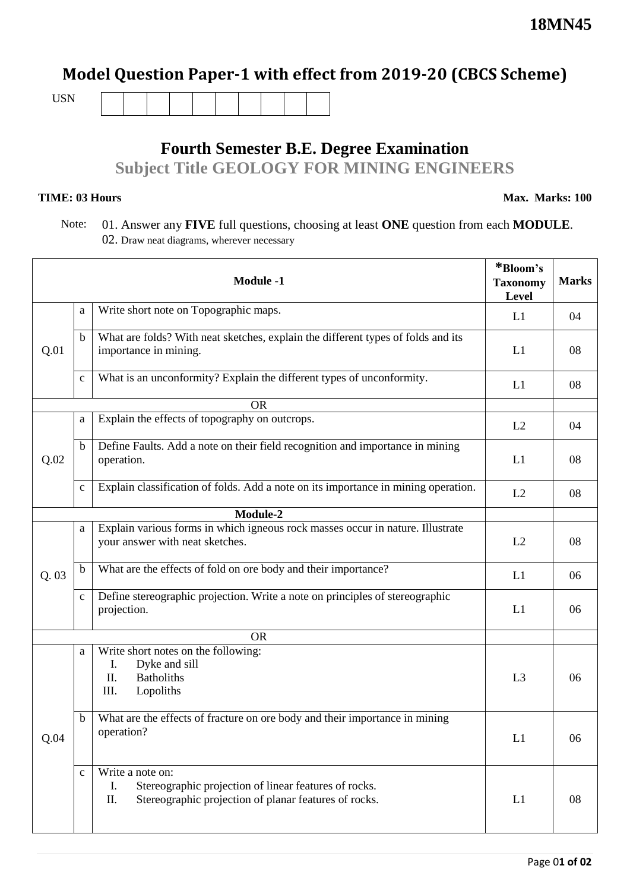## **Model Question Paper-1 with effect from 2019-20 (CBCS Scheme)**

USN

# **Fourth Semester B.E. Degree Examination Subject Title GEOLOGY FOR MINING ENGINEERS**

#### **TIME: 03 Hours**

**Max. Marks: 100**

### Note: 01. Answer any **FIVE** full questions, choosing at least **ONE** question from each **MODULE**. 02. Draw neat diagrams, wherever necessary

|      |              | <b>Module -1</b>                                                                                                                                | *Bloom's<br><b>Taxonomy</b><br><b>Level</b> | <b>Marks</b> |
|------|--------------|-------------------------------------------------------------------------------------------------------------------------------------------------|---------------------------------------------|--------------|
|      | a            | Write short note on Topographic maps.                                                                                                           | L1                                          | 04           |
| Q.01 | $\mathbf b$  | What are folds? With neat sketches, explain the different types of folds and its<br>importance in mining.                                       | L1                                          | 08           |
|      | $\mathbf{C}$ | What is an unconformity? Explain the different types of unconformity.                                                                           | L1                                          | 08           |
|      |              | <b>OR</b>                                                                                                                                       |                                             |              |
|      | a            | Explain the effects of topography on outcrops.                                                                                                  | L2                                          | 04           |
| Q.02 | $\mathbf b$  | Define Faults. Add a note on their field recognition and importance in mining<br>operation.                                                     | L1                                          | 08           |
|      | $\mathbf{C}$ | Explain classification of folds. Add a note on its importance in mining operation.                                                              | L2                                          | 08           |
|      |              | Module-2                                                                                                                                        |                                             |              |
|      | a            | Explain various forms in which igneous rock masses occur in nature. Illustrate<br>your answer with neat sketches.                               | L2                                          | 08           |
| Q.03 | $\mathbf b$  | What are the effects of fold on ore body and their importance?                                                                                  | L1                                          | 06           |
|      | $\mathbf{C}$ | Define stereographic projection. Write a note on principles of stereographic<br>projection.                                                     | L1                                          | 06           |
|      |              | <b>OR</b>                                                                                                                                       |                                             |              |
|      | a            | Write short notes on the following:<br>Dyke and sill<br>Ι.<br>П.<br><b>Batholiths</b><br>III.<br>Lopoliths                                      | L <sub>3</sub>                              | 06           |
| Q.04 | b            | What are the effects of fracture on ore body and their importance in mining<br>operation?                                                       | L1                                          | 06           |
|      | $\mathbf c$  | Write a note on:<br>Stereographic projection of linear features of rocks.<br>Ι.<br>Stereographic projection of planar features of rocks.<br>II. | L1                                          | 08           |